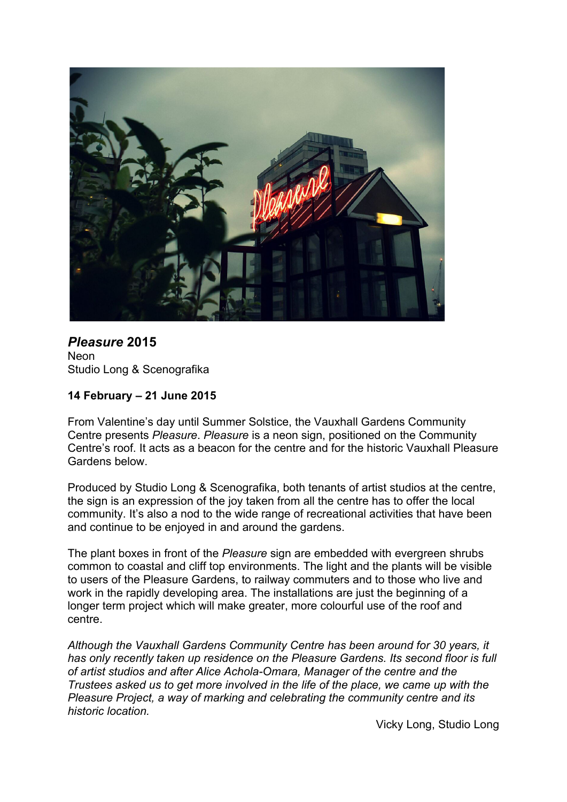

*Pleasure* **2015 Neon** Studio Long & Scenografika

# **14 February – 21 June 2015**

From Valentine's day until Summer Solstice, the Vauxhall Gardens Community Centre presents *Pleasure*. *Pleasure* is a neon sign, positioned on the Community Centre's roof. It acts as a beacon for the centre and for the historic Vauxhall Pleasure Gardens below.

Produced by Studio Long & Scenografika, both tenants of artist studios at the centre, the sign is an expression of the joy taken from all the centre has to offer the local community. It's also a nod to the wide range of recreational activities that have been and continue to be enjoyed in and around the gardens.

The plant boxes in front of the *Pleasure* sign are embedded with evergreen shrubs common to coastal and cliff top environments. The light and the plants will be visible to users of the Pleasure Gardens, to railway commuters and to those who live and work in the rapidly developing area. The installations are just the beginning of a longer term project which will make greater, more colourful use of the roof and centre.

*Although the Vauxhall Gardens Community Centre has been around for 30 years, it has only recently taken up residence on the Pleasure Gardens. Its second floor is full of artist studios and after Alice Achola-Omara, Manager of the centre and the Trustees asked us to get more involved in the life of the place, we came up with the Pleasure Project, a way of marking and celebrating the community centre and its historic location.*

Vicky Long, Studio Long